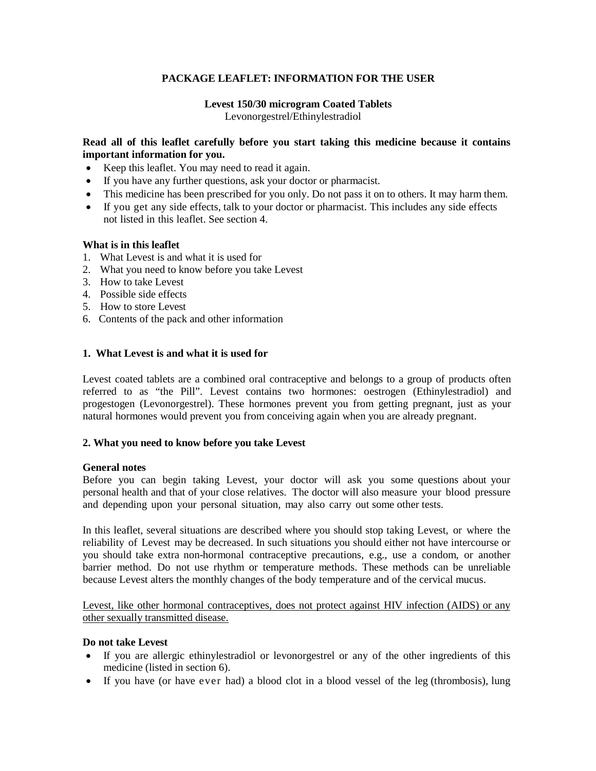# **PACKAGE LEAFLET: INFORMATION FOR THE USER**

### **Levest 150/30 microgram Coated Tablets** Levonorgestrel/Ethinylestradiol

### **Read all of this leaflet carefully before you start taking this medicine because it contains important information for you.**

- Keep this leaflet. You may need to read it again.
- If you have any further questions, ask your doctor or pharmacist.
- This medicine has been prescribed for you only. Do not pass it on to others. It may harm them.
- If you get any side effects, talk to your doctor or pharmacist. This includes any side effects not listed in this leaflet. See section 4.

### **What is in this leaflet**

- 1. What Levest is and what it is used for
- 2. What you need to know before you take Levest
- 3. How to take Levest
- 4. Possible side effects
- 5. How to store Levest
- 6. Contents of the pack and other information

### **1. What Levest is and what it is used for**

Levest coated tablets are a combined oral contraceptive and belongs to a group of products often referred to as "the Pill". Levest contains two hormones: oestrogen (Ethinylestradiol) and progestogen (Levonorgestrel). These hormones prevent you from getting pregnant, just as your natural hormones would prevent you from conceiving again when you are already pregnant.

#### **2. What you need to know before you take Levest**

#### **General notes**

Before you can begin taking Levest, your doctor will ask you some questions about your personal health and that of your close relatives. The doctor will also measure your blood pressure and depending upon your personal situation, may also carry out some other tests.

In this leaflet, several situations are described where you should stop taking Levest, or where the reliability of Levest may be decreased. In such situations you should either not have intercourse or you should take extra non-hormonal contraceptive precautions, e.g., use a condom, or another barrier method. Do not use rhythm or temperature methods. These methods can be unreliable because Levest alters the monthly changes of the body temperature and of the cervical mucus.

Levest, like other hormonal contraceptives, does not protect against HIV infection (AIDS) or any other sexually transmitted disease.

#### **Do not take Levest**

- If you are allergic ethinylestradiol or levonorgestrel or any of the other ingredients of this medicine (listed in section 6).
- If you have (or have ever had) a blood clot in a blood vessel of the leg (thrombosis), lung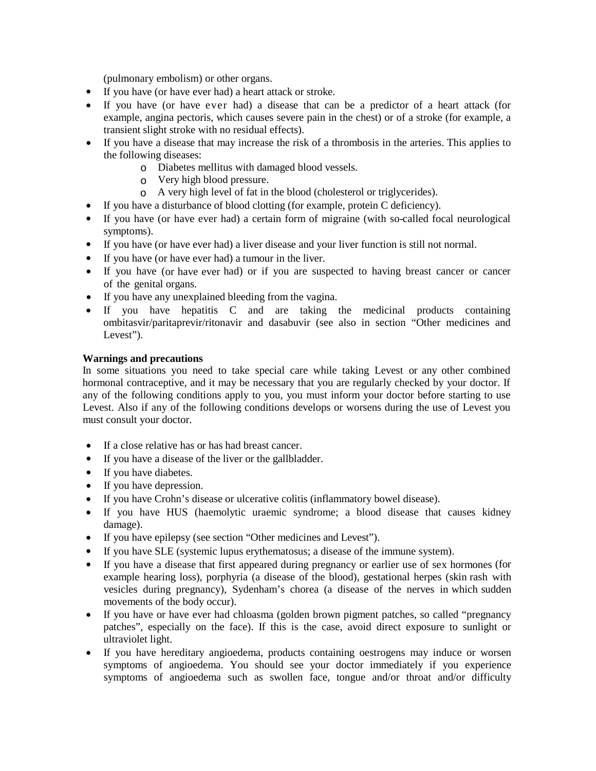(pulmonary embolism) or other organs.

- If you have (or have ever had) a heart attack or stroke.
- If you have (or have ever had) a disease that can be a predictor of a heart attack (for example, angina pectoris, which causes severe pain in the chest) or of a stroke (for example, a transient slight stroke with no residual effects).
- If you have a disease that may increase the risk of a thrombosis in the arteries. This applies to the following diseases:
	- o Diabetes mellitus with damaged blood vessels.
	- o Very high blood pressure.
	- o A very high level of fat in the blood (cholesterol or triglycerides).
	- If you have a disturbance of blood clotting (for example, protein C deficiency).
- If you have (or have ever had) a certain form of migraine (with so-called focal neurological symptoms).
- If you have (or have ever had) a liver disease and your liver function is still not normal.
- If you have (or have ever had) a tumour in the liver.
- If you have (or have ever had) or if you are suspected to having breast cancer or cancer of the genital organs.
- If you have any unexplained bleeding from the vagina.
- If you have hepatitis C and are taking the medicinal products containing ombitasvir/paritaprevir/ritonavir and dasabuvir (see also in section "Other medicines and Levest").

## **Warnings and precautions**

In some situations you need to take special care while taking Levest or any other combined hormonal contraceptive, and it may be necessary that you are regularly checked by your doctor. If any of the following conditions apply to you, you must inform your doctor before starting to use Levest. Also if any of the following conditions develops or worsens during the use of Levest you must consult your doctor.

- If a close relative has or has had breast cancer.
- If you have a disease of the liver or the gallbladder.
- If you have diabetes.
- If you have depression.
- If you have Crohn's disease or ulcerative colitis (inflammatory bowel disease).
- If you have HUS (haemolytic uraemic syndrome; a blood disease that causes kidney damage).
- If you have epilepsy (see section "Other medicines and Levest").
- If you have SLE (systemic lupus erythematosus; a disease of the immune system).
- If you have a disease that first appeared during pregnancy or earlier use of sex hormones (for example hearing loss), porphyria (a disease of the blood), gestational herpes (skin rash with vesicles during pregnancy), Sydenham's chorea (a disease of the nerves in which sudden movements of the body occur).
- If you have or have ever had chloasma (golden brown pigment patches, so called "pregnancy patches", especially on the face). If this is the case, avoid direct exposure to sunlight or ultraviolet light.
- If you have hereditary angioedema, products containing oestrogens may induce or worsen symptoms of angioedema. You should see your doctor immediately if you experience symptoms of angioedema such as swollen face, tongue and/or throat and/or difficulty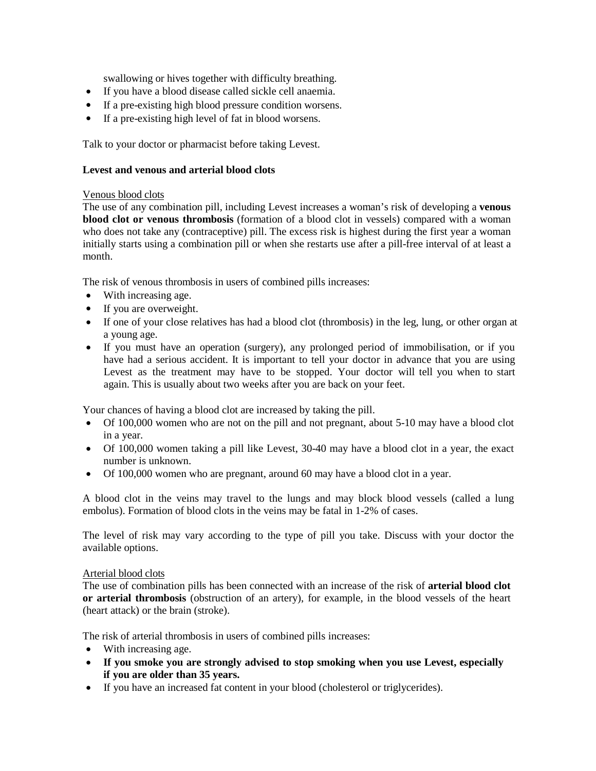swallowing or hives together with difficulty breathing.

- If you have a blood disease called sickle cell anaemia.
- If a pre-existing high blood pressure condition worsens.
- If a pre-existing high level of fat in blood worsens.

Talk to your doctor or pharmacist before taking Levest.

## **Levest and venous and arterial blood clots**

### Venous blood clots

The use of any combination pill, including Levest increases a woman's risk of developing a **venous blood clot or venous thrombosis** (formation of a blood clot in vessels) compared with a woman who does not take any (contraceptive) pill. The excess risk is highest during the first year a woman initially starts using a combination pill or when she restarts use after a pill-free interval of at least a month.

The risk of venous thrombosis in users of combined pills increases:

- With increasing age.
- If you are overweight.
- If one of your close relatives has had a blood clot (thrombosis) in the leg, lung, or other organ at a young age.
- If you must have an operation (surgery), any prolonged period of immobilisation, or if you have had a serious accident. It is important to tell your doctor in advance that you are using Levest as the treatment may have to be stopped. Your doctor will tell you when to start again. This is usually about two weeks after you are back on your feet.

Your chances of having a blood clot are increased by taking the pill.

- Of 100,000 women who are not on the pill and not pregnant, about 5-10 may have a blood clot in a year.
- Of 100,000 women taking a pill like Levest, 30-40 may have a blood clot in a year, the exact number is unknown.
- Of 100,000 women who are pregnant, around 60 may have a blood clot in a year.

A blood clot in the veins may travel to the lungs and may block blood vessels (called a lung embolus). Formation of blood clots in the veins may be fatal in 1-2% of cases.

The level of risk may vary according to the type of pill you take. Discuss with your doctor the available options.

#### Arterial blood clots

The use of combination pills has been connected with an increase of the risk of **arterial blood clot or arterial thrombosis** (obstruction of an artery), for example, in the blood vessels of the heart (heart attack) or the brain (stroke).

The risk of arterial thrombosis in users of combined pills increases:

- With increasing age.
- **If you smoke you are strongly advised to stop smoking when you use Levest, especially if you are older than 35 years.**
- If you have an increased fat content in your blood (cholesterol or triglycerides).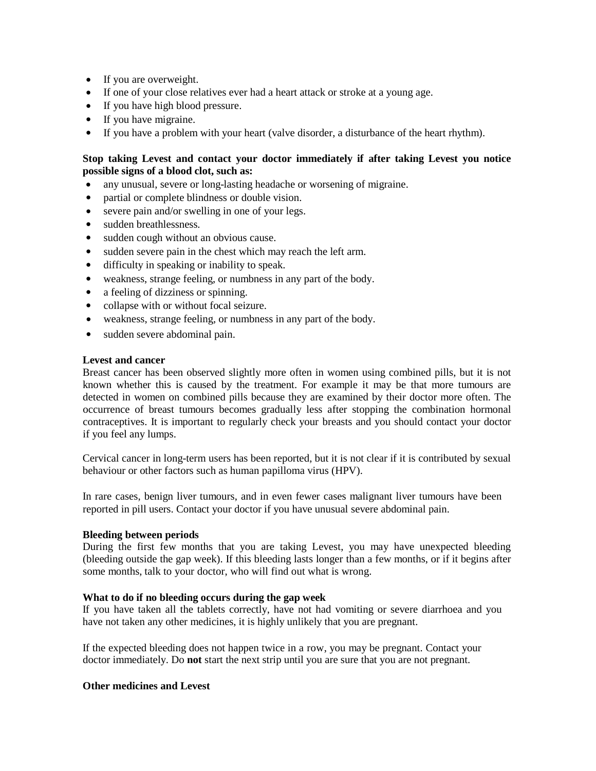- If you are overweight.
- If one of your close relatives ever had a heart attack or stroke at a young age.
- If you have high blood pressure.
- If you have migraine.
- If you have a problem with your heart (valve disorder, a disturbance of the heart rhythm).

## **Stop taking Levest and contact your doctor immediately if after taking Levest you notice possible signs of a blood clot, such as:**

- any unusual, severe or long-lasting headache or worsening of migraine.
- partial or complete blindness or double vision.
- severe pain and/or swelling in one of your legs.
- sudden breathlessness.
- sudden cough without an obvious cause.
- sudden severe pain in the chest which may reach the left arm.
- difficulty in speaking or inability to speak.
- weakness, strange feeling, or numbness in any part of the body.
- a feeling of dizziness or spinning.
- collapse with or without focal seizure.
- weakness, strange feeling, or numbness in any part of the body.
- sudden severe abdominal pain.

### **Levest and cancer**

Breast cancer has been observed slightly more often in women using combined pills, but it is not known whether this is caused by the treatment. For example it may be that more tumours are detected in women on combined pills because they are examined by their doctor more often. The occurrence of breast tumours becomes gradually less after stopping the combination hormonal contraceptives. It is important to regularly check your breasts and you should contact your doctor if you feel any lumps.

Cervical cancer in long-term users has been reported, but it is not clear if it is contributed by sexual behaviour or other factors such as human papilloma virus (HPV).

In rare cases, benign liver tumours, and in even fewer cases malignant liver tumours have been reported in pill users. Contact your doctor if you have unusual severe abdominal pain.

#### **Bleeding between periods**

During the first few months that you are taking Levest, you may have unexpected bleeding (bleeding outside the gap week). If this bleeding lasts longer than a few months, or if it begins after some months, talk to your doctor, who will find out what is wrong.

## **What to do if no bleeding occurs during the gap week**

If you have taken all the tablets correctly, have not had vomiting or severe diarrhoea and you have not taken any other medicines, it is highly unlikely that you are pregnant.

If the expected bleeding does not happen twice in a row, you may be pregnant. Contact your doctor immediately. Do **not** start the next strip until you are sure that you are not pregnant.

## **Other medicines and Levest**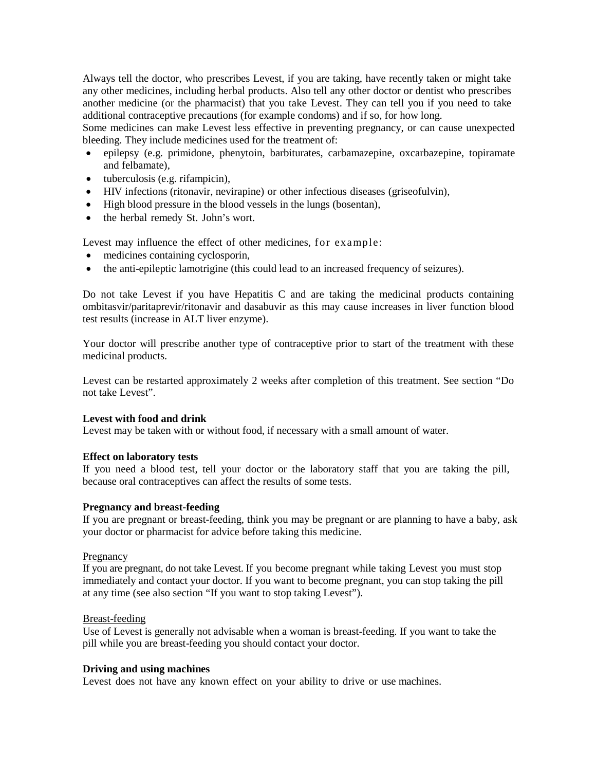Always tell the doctor, who prescribes Levest, if you are taking, have recently taken or might take any other medicines, including herbal products. Also tell any other doctor or dentist who prescribes another medicine (or the pharmacist) that you take Levest. They can tell you if you need to take additional contraceptive precautions (for example condoms) and if so, for how long.

Some medicines can make Levest less effective in preventing pregnancy, or can cause unexpected bleeding. They include medicines used for the treatment of:

- epilepsy (e.g. primidone, phenytoin, barbiturates, carbamazepine, oxcarbazepine, topiramate and felbamate),
- tuberculosis (e.g. rifampicin),
- HIV infections (ritonavir, nevirapine) or other infectious diseases (griseofulvin),
- High blood pressure in the blood vessels in the lungs (bosentan),
- the herbal remedy St. John's wort.

Levest may influence the effect of other medicines, for example:

- medicines containing cyclosporin,
- the anti-epileptic lamotrigine (this could lead to an increased frequency of seizures).

Do not take Levest if you have Hepatitis C and are taking the medicinal products containing ombitasvir/paritaprevir/ritonavir and dasabuvir as this may cause increases in liver function blood test results (increase in ALT liver enzyme).

Your doctor will prescribe another type of contraceptive prior to start of the treatment with these medicinal products.

Levest can be restarted approximately 2 weeks after completion of this treatment. See section "Do not take Levest".

## **Levest with food and drink**

Levest may be taken with or without food, if necessary with a small amount of water.

## **Effect on laboratory tests**

If you need a blood test, tell your doctor or the laboratory staff that you are taking the pill, because oral contraceptives can affect the results of some tests.

## **Pregnancy and breast-feeding**

If you are pregnant or breast-feeding, think you may be pregnant or are planning to have a baby, ask your doctor or pharmacist for advice before taking this medicine.

#### **Pregnancy**

If you are pregnant, do not take Levest. If you become pregnant while taking Levest you must stop immediately and contact your doctor. If you want to become pregnant, you can stop taking the pill at any time (see also section "If you want to stop taking Levest").

### Breast-feeding

Use of Levest is generally not advisable when a woman is breast-feeding. If you want to take the pill while you are breast-feeding you should contact your doctor.

### **Driving and using machines**

Levest does not have any known effect on your ability to drive or use machines.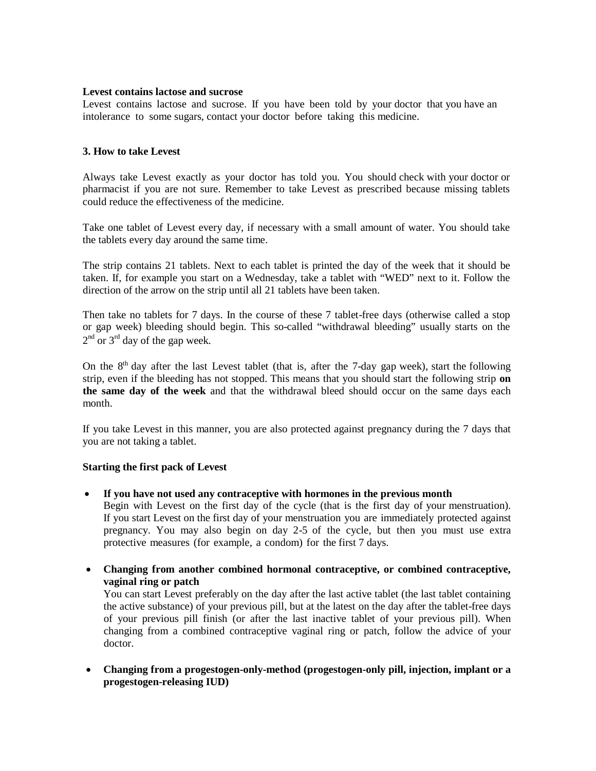#### **Levest contains lactose and sucrose**

Levest contains lactose and sucrose. If you have been told by your doctor that you have an intolerance to some sugars, contact your doctor before taking this medicine.

## **3. How to take Levest**

Always take Levest exactly as your doctor has told you. You should check with your doctor or pharmacist if you are not sure. Remember to take Levest as prescribed because missing tablets could reduce the effectiveness of the medicine.

Take one tablet of Levest every day, if necessary with a small amount of water. You should take the tablets every day around the same time.

The strip contains 21 tablets. Next to each tablet is printed the day of the week that it should be taken. If, for example you start on a Wednesday, take a tablet with "WED" next to it. Follow the direction of the arrow on the strip until all 21 tablets have been taken.

Then take no tablets for 7 days. In the course of these 7 tablet-free days (otherwise called a stop or gap week) bleeding should begin. This so-called "withdrawal bleeding" usually starts on the  $2<sup>nd</sup>$  or  $3<sup>rd</sup>$  day of the gap week.

On the  $8<sup>th</sup>$  day after the last Levest tablet (that is, after the 7-day gap week), start the following strip, even if the bleeding has not stopped. This means that you should start the following strip **on the same day of the week** and that the withdrawal bleed should occur on the same days each month.

If you take Levest in this manner, you are also protected against pregnancy during the 7 days that you are not taking a tablet.

## **Starting the first pack of Levest**

• **If you have not used any contraceptive with hormones in the previous month**

Begin with Levest on the first day of the cycle (that is the first day of your menstruation). If you start Levest on the first day of your menstruation you are immediately protected against pregnancy. You may also begin on day 2-5 of the cycle, but then you must use extra protective measures (for example, a condom) for the first 7 days.

• **Changing from another combined hormonal contraceptive, or combined contraceptive, vaginal ring or patch**

You can start Levest preferably on the day after the last active tablet (the last tablet containing the active substance) of your previous pill, but at the latest on the day after the tablet-free days of your previous pill finish (or after the last inactive tablet of your previous pill). When changing from a combined contraceptive vaginal ring or patch, follow the advice of your doctor.

• **Changing from a progestogen-only-method (progestogen-only pill, injection, implant or a progestogen-releasing IUD)**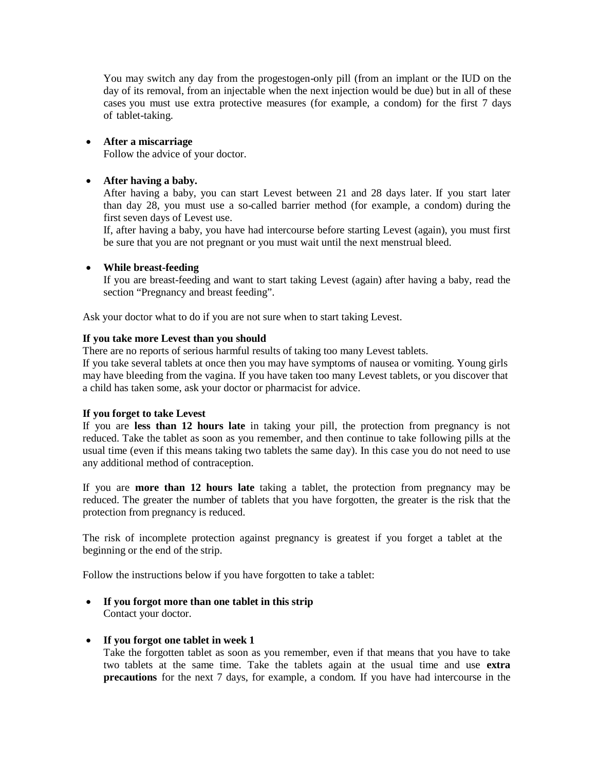You may switch any day from the progestogen-only pill (from an implant or the IUD on the day of its removal, from an injectable when the next injection would be due) but in all of these cases you must use extra protective measures (for example, a condom) for the first 7 days of tablet-taking.

## • **After a miscarriage**

Follow the advice of your doctor.

## • **After having a baby.**

After having a baby, you can start Levest between 21 and 28 days later. If you start later than day 28, you must use a so-called barrier method (for example, a condom) during the first seven days of Levest use.

If, after having a baby, you have had intercourse before starting Levest (again), you must first be sure that you are not pregnant or you must wait until the next menstrual bleed.

### • **While breast-feeding**

If you are breast-feeding and want to start taking Levest (again) after having a baby, read the section "Pregnancy and breast feeding".

Ask your doctor what to do if you are not sure when to start taking Levest.

### **If you take more Levest than you should**

There are no reports of serious harmful results of taking too many Levest tablets.

If you take several tablets at once then you may have symptoms of nausea or vomiting. Young girls may have bleeding from the vagina. If you have taken too many Levest tablets, or you discover that a child has taken some, ask your doctor or pharmacist for advice.

#### **If you forget to take Levest**

If you are **less than 12 hours late** in taking your pill, the protection from pregnancy is not reduced. Take the tablet as soon as you remember, and then continue to take following pills at the usual time (even if this means taking two tablets the same day). In this case you do not need to use any additional method of contraception.

If you are **more than 12 hours late** taking a tablet, the protection from pregnancy may be reduced. The greater the number of tablets that you have forgotten, the greater is the risk that the protection from pregnancy is reduced.

The risk of incomplete protection against pregnancy is greatest if you forget a tablet at the beginning or the end of the strip.

Follow the instructions below if you have forgotten to take a tablet:

• **If you forgot more than one tablet in this strip** Contact your doctor.

#### • **If you forgot one tablet in week 1**

Take the forgotten tablet as soon as you remember, even if that means that you have to take two tablets at the same time. Take the tablets again at the usual time and use **extra precautions** for the next 7 days, for example, a condom. If you have had intercourse in the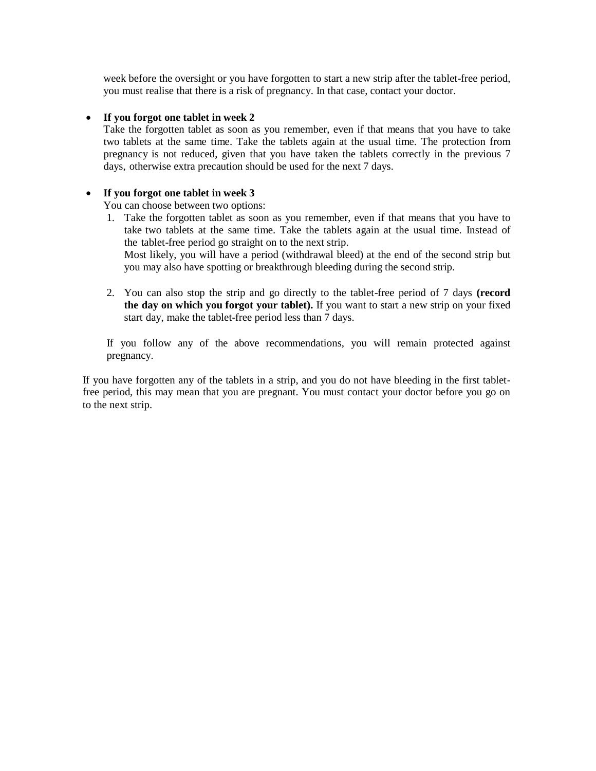week before the oversight or you have forgotten to start a new strip after the tablet-free period, you must realise that there is a risk of pregnancy. In that case, contact your doctor.

#### • **If you forgot one tablet in week 2**

Take the forgotten tablet as soon as you remember, even if that means that you have to take two tablets at the same time. Take the tablets again at the usual time. The protection from pregnancy is not reduced, given that you have taken the tablets correctly in the previous 7 days, otherwise extra precaution should be used for the next 7 days.

### • **If you forgot one tablet in week 3**

You can choose between two options:

- 1. Take the forgotten tablet as soon as you remember, even if that means that you have to take two tablets at the same time. Take the tablets again at the usual time. Instead of the tablet-free period go straight on to the next strip. Most likely, you will have a period (withdrawal bleed) at the end of the second strip but you may also have spotting or breakthrough bleeding during the second strip.
- 2. You can also stop the strip and go directly to the tablet-free period of 7 days **(record the day on which you forgot your tablet).** If you want to start a new strip on your fixed start day, make the tablet-free period less than 7 days.

If you follow any of the above recommendations, you will remain protected against pregnancy.

If you have forgotten any of the tablets in a strip, and you do not have bleeding in the first tabletfree period, this may mean that you are pregnant. You must contact your doctor before you go on to the next strip.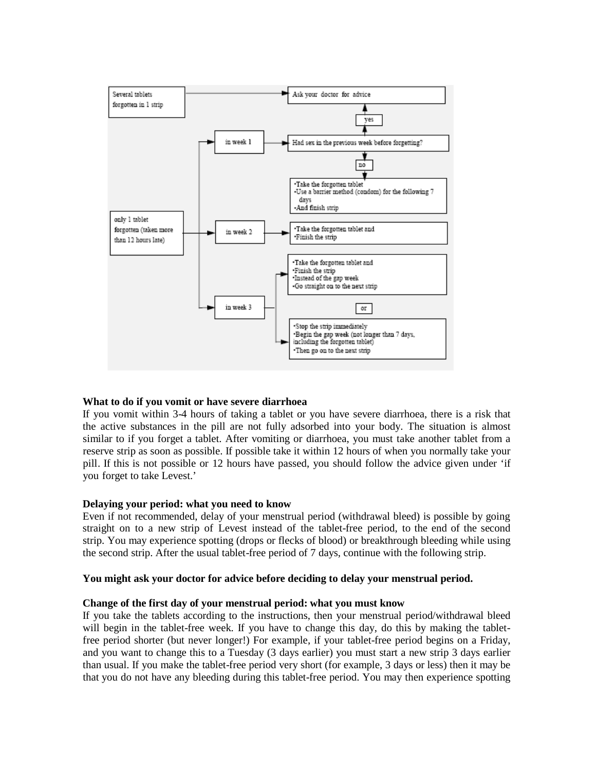

## **What to do if you vomit or have severe diarrhoea**

If you vomit within 3-4 hours of taking a tablet or you have severe diarrhoea, there is a risk that the active substances in the pill are not fully adsorbed into your body. The situation is almost similar to if you forget a tablet. After vomiting or diarrhoea, you must take another tablet from a reserve strip as soon as possible. If possible take it within 12 hours of when you normally take your pill. If this is not possible or 12 hours have passed, you should follow the advice given under 'if you forget to take Levest.'

#### **Delaying your period: what you need to know**

Even if not recommended, delay of your menstrual period (withdrawal bleed) is possible by going straight on to a new strip of Levest instead of the tablet-free period, to the end of the second strip. You may experience spotting (drops or flecks of blood) or breakthrough bleeding while using the second strip. After the usual tablet-free period of 7 days, continue with the following strip.

#### **You might ask your doctor for advice before deciding to delay your menstrual period.**

#### **Change of the first day of your menstrual period: what you must know**

If you take the tablets according to the instructions, then your menstrual period/withdrawal bleed will begin in the tablet-free week. If you have to change this day, do this by making the tabletfree period shorter (but never longer!) For example, if your tablet-free period begins on a Friday, and you want to change this to a Tuesday (3 days earlier) you must start a new strip 3 days earlier than usual. If you make the tablet-free period very short (for example, 3 days or less) then it may be that you do not have any bleeding during this tablet-free period. You may then experience spotting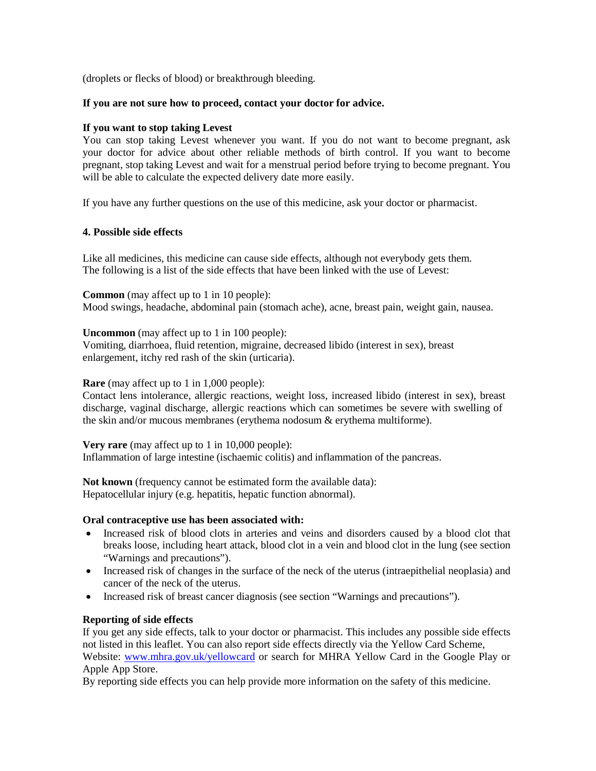(droplets or flecks of blood) or breakthrough bleeding.

## **If you are not sure how to proceed, contact your doctor for advice.**

#### **If you want to stop taking Levest**

You can stop taking Levest whenever you want. If you do not want to become pregnant, ask your doctor for advice about other reliable methods of birth control. If you want to become pregnant, stop taking Levest and wait for a menstrual period before trying to become pregnant. You will be able to calculate the expected delivery date more easily.

If you have any further questions on the use of this medicine, ask your doctor or pharmacist.

### **4. Possible side effects**

Like all medicines, this medicine can cause side effects, although not everybody gets them. The following is a list of the side effects that have been linked with the use of Levest:

**Common** (may affect up to 1 in 10 people): Mood swings, headache, abdominal pain (stomach ache), acne, breast pain, weight gain, nausea.

**Uncommon** (may affect up to 1 in 100 people):

Vomiting, diarrhoea, fluid retention, migraine, decreased libido (interest in sex), breast enlargement, itchy red rash of the skin (urticaria).

## **Rare** (may affect up to 1 in 1,000 people):

Contact lens intolerance, allergic reactions, weight loss, increased libido (interest in sex), breast discharge, vaginal discharge, allergic reactions which can sometimes be severe with swelling of the skin and/or mucous membranes (erythema nodosum & erythema multiforme).

**Very rare** (may affect up to 1 in 10,000 people): Inflammation of large intestine (ischaemic colitis) and inflammation of the pancreas.

**Not known** (frequency cannot be estimated form the available data): Hepatocellular injury (e.g. hepatitis, hepatic function abnormal).

## **Oral contraceptive use has been associated with:**

- Increased risk of blood clots in arteries and veins and disorders caused by a blood clot that breaks loose, including heart attack, blood clot in a vein and blood clot in the lung (see section "Warnings and precautions").
- Increased risk of changes in the surface of the neck of the uterus (intraepithelial neoplasia) and cancer of the neck of the uterus.
- Increased risk of breast cancer diagnosis (see section "Warnings and precautions").

## **Reporting of side effects**

If you get any side effects, talk to your doctor or pharmacist. This includes any possible side effects not listed in this leaflet. You can also report side effects directly via the Yellow Card Scheme, Website: [www.mhra.gov.uk/yellowcard](http://www.mhra.gov.uk/yellowcard) or search for MHRA Yellow Card in the Google Play or Apple App Store.

By reporting side effects you can help provide more information on the safety of this medicine.